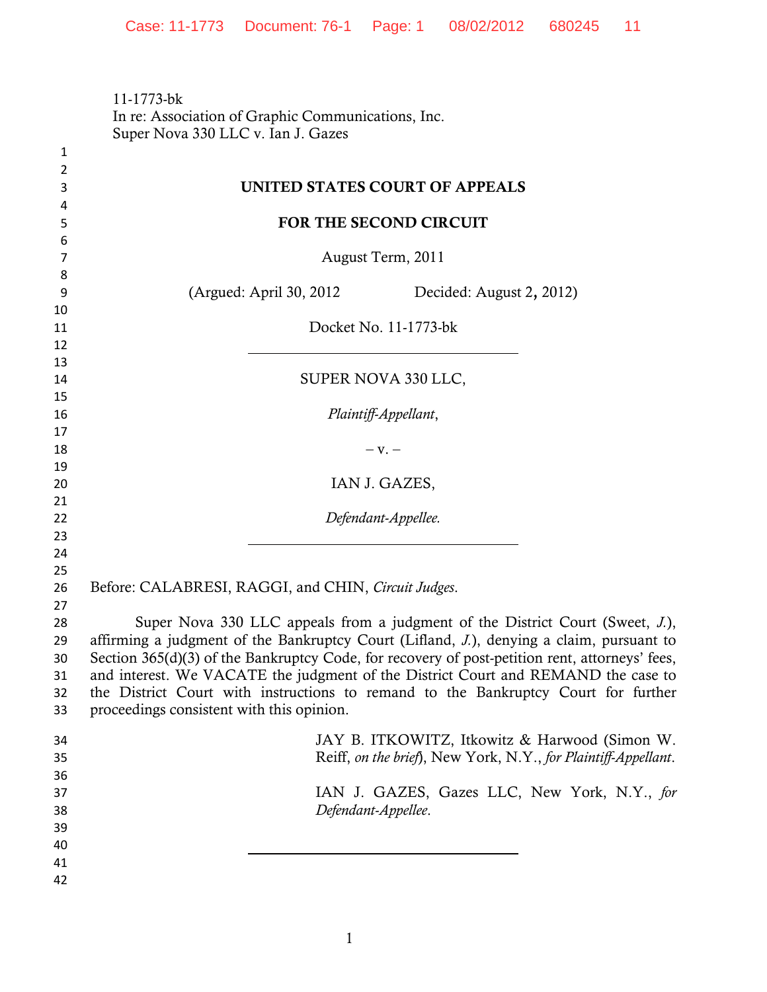11-1773-bk In re: Association of Graphic Communications, Inc. Super Nova 330 LLC v. Ian J. Gazes

| $\mathbf{1}$   |                                                                                                                                                                                            |
|----------------|--------------------------------------------------------------------------------------------------------------------------------------------------------------------------------------------|
| $\overline{2}$ |                                                                                                                                                                                            |
| 3              | UNITED STATES COURT OF APPEALS                                                                                                                                                             |
| 4              |                                                                                                                                                                                            |
| 5              | FOR THE SECOND CIRCUIT                                                                                                                                                                     |
| 6<br>7         | August Term, 2011                                                                                                                                                                          |
| 8              |                                                                                                                                                                                            |
| 9              | (Argued: April 30, 2012)<br>Decided: August 2, 2012)                                                                                                                                       |
| 10             |                                                                                                                                                                                            |
| 11             | Docket No. 11-1773-bk                                                                                                                                                                      |
| 12             |                                                                                                                                                                                            |
| 13             |                                                                                                                                                                                            |
| 14             | SUPER NOVA 330 LLC,                                                                                                                                                                        |
| 15             |                                                                                                                                                                                            |
| 16             | Plaintiff-Appellant,                                                                                                                                                                       |
| 17             |                                                                                                                                                                                            |
| 18<br>19       | $-V. -$                                                                                                                                                                                    |
| 20             | IAN J. GAZES,                                                                                                                                                                              |
| 21             |                                                                                                                                                                                            |
| 22             | Defendant-Appellee.                                                                                                                                                                        |
| 23             |                                                                                                                                                                                            |
| 24             |                                                                                                                                                                                            |
| 25             |                                                                                                                                                                                            |
| 26             | Before: CALABRESI, RAGGI, and CHIN, Circuit Judges.                                                                                                                                        |
| 27             |                                                                                                                                                                                            |
| 28             | Super Nova 330 LLC appeals from a judgment of the District Court (Sweet, J.),                                                                                                              |
| 29<br>30       | affirming a judgment of the Bankruptcy Court (Lifland, J.), denying a claim, pursuant to<br>Section 365(d)(3) of the Bankruptcy Code, for recovery of post-petition rent, attorneys' fees, |
| 31             | and interest. We VACATE the judgment of the District Court and REMAND the case to                                                                                                          |
| 32             | the District Court with instructions to remand to the Bankruptcy Court for further                                                                                                         |
| 33             | proceedings consistent with this opinion.                                                                                                                                                  |
|                |                                                                                                                                                                                            |
| 34             | JAY B. ITKOWITZ, Itkowitz & Harwood (Simon W.                                                                                                                                              |
| 35             | Reiff, on the brief), New York, N.Y., for Plaintiff-Appellant.                                                                                                                             |
| 36             | IAN J. GAZES, Gazes LLC, New York, N.Y., for                                                                                                                                               |
| 37<br>38       | Defendant-Appellee.                                                                                                                                                                        |
| 39             |                                                                                                                                                                                            |
| 40             |                                                                                                                                                                                            |
| 41             |                                                                                                                                                                                            |
| 42             |                                                                                                                                                                                            |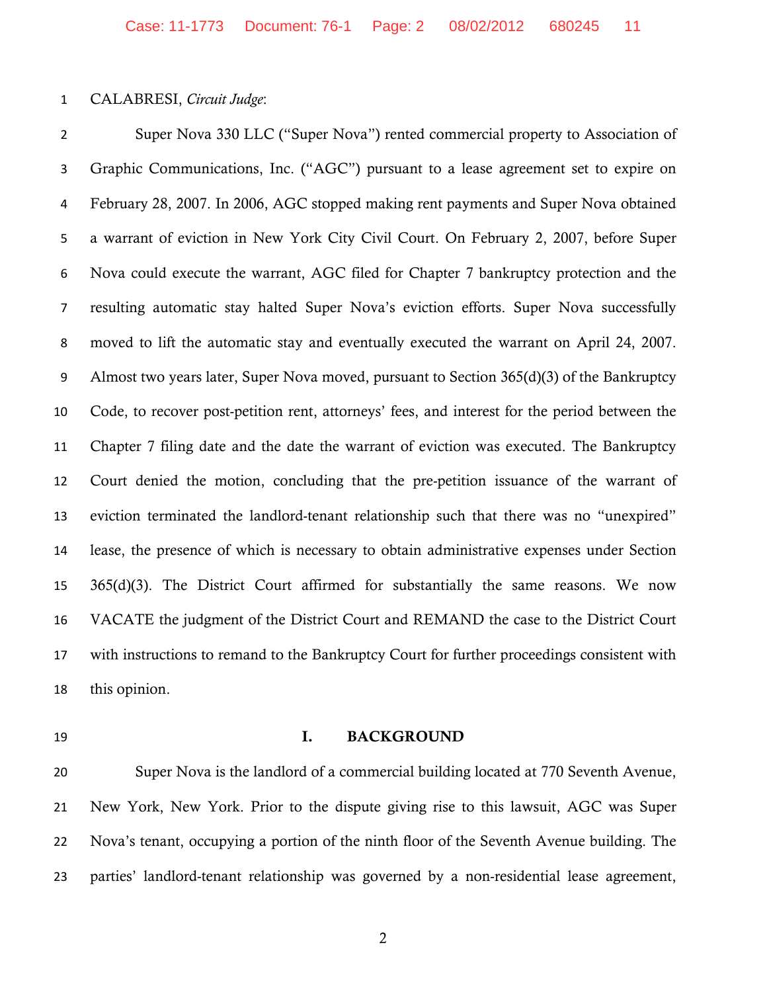## CALABRESI, *Circuit Judge*:

 Super Nova 330 LLC ("Super Nova") rented commercial property to Association of Graphic Communications, Inc. ("AGC") pursuant to a lease agreement set to expire on February 28, 2007. In 2006, AGC stopped making rent payments and Super Nova obtained a warrant of eviction in New York City Civil Court. On February 2, 2007, before Super Nova could execute the warrant, AGC filed for Chapter 7 bankruptcy protection and the resulting automatic stay halted Super Nova's eviction efforts. Super Nova successfully moved to lift the automatic stay and eventually executed the warrant on April 24, 2007. Almost two years later, Super Nova moved, pursuant to Section 365(d)(3) of the Bankruptcy Code, to recover post-petition rent, attorneys' fees, and interest for the period between the Chapter 7 filing date and the date the warrant of eviction was executed. The Bankruptcy Court denied the motion, concluding that the pre-petition issuance of the warrant of eviction terminated the landlord-tenant relationship such that there was no "unexpired" lease, the presence of which is necessary to obtain administrative expenses under Section 365(d)(3). The District Court affirmed for substantially the same reasons. We now VACATE the judgment of the District Court and REMAND the case to the District Court with instructions to remand to the Bankruptcy Court for further proceedings consistent with this opinion.

## 19 I. BACKGROUND

 Super Nova is the landlord of a commercial building located at 770 Seventh Avenue, New York, New York. Prior to the dispute giving rise to this lawsuit, AGC was Super Nova's tenant, occupying a portion of the ninth floor of the Seventh Avenue building. The parties' landlord-tenant relationship was governed by a non-residential lease agreement,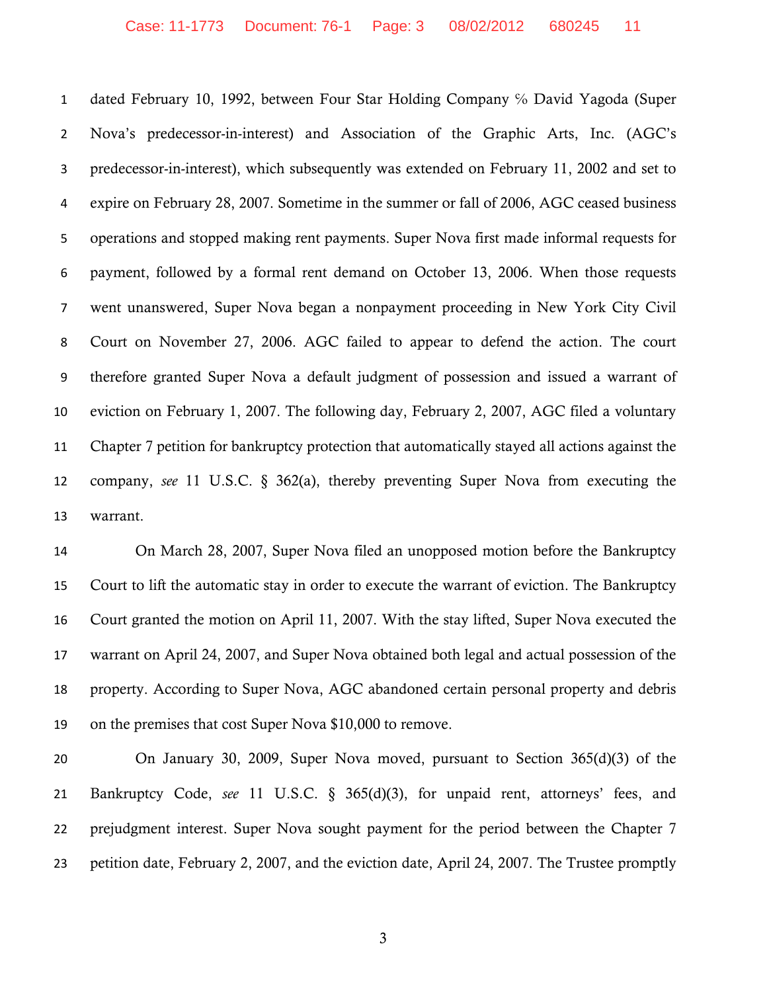1 dated February 10, 1992, between Four Star Holding Company % David Yagoda (Super Nova's predecessor-in-interest) and Association of the Graphic Arts, Inc. (AGC's predecessor-in-interest), which subsequently was extended on February 11, 2002 and set to expire on February 28, 2007. Sometime in the summer or fall of 2006, AGC ceased business operations and stopped making rent payments. Super Nova first made informal requests for payment, followed by a formal rent demand on October 13, 2006. When those requests went unanswered, Super Nova began a nonpayment proceeding in New York City Civil Court on November 27, 2006. AGC failed to appear to defend the action. The court therefore granted Super Nova a default judgment of possession and issued a warrant of eviction on February 1, 2007. The following day, February 2, 2007, AGC filed a voluntary Chapter 7 petition for bankruptcy protection that automatically stayed all actions against the company, *see* 11 U.S.C. § 362(a), thereby preventing Super Nova from executing the warrant.

 On March 28, 2007, Super Nova filed an unopposed motion before the Bankruptcy Court to lift the automatic stay in order to execute the warrant of eviction. The Bankruptcy Court granted the motion on April 11, 2007. With the stay lifted, Super Nova executed the warrant on April 24, 2007, and Super Nova obtained both legal and actual possession of the property. According to Super Nova, AGC abandoned certain personal property and debris on the premises that cost Super Nova \$10,000 to remove.

 On January 30, 2009, Super Nova moved, pursuant to Section 365(d)(3) of the Bankruptcy Code, *see* 11 U.S.C. § 365(d)(3), for unpaid rent, attorneys' fees, and 22 prejudgment interest. Super Nova sought payment for the period between the Chapter 7 petition date, February 2, 2007, and the eviction date, April 24, 2007. The Trustee promptly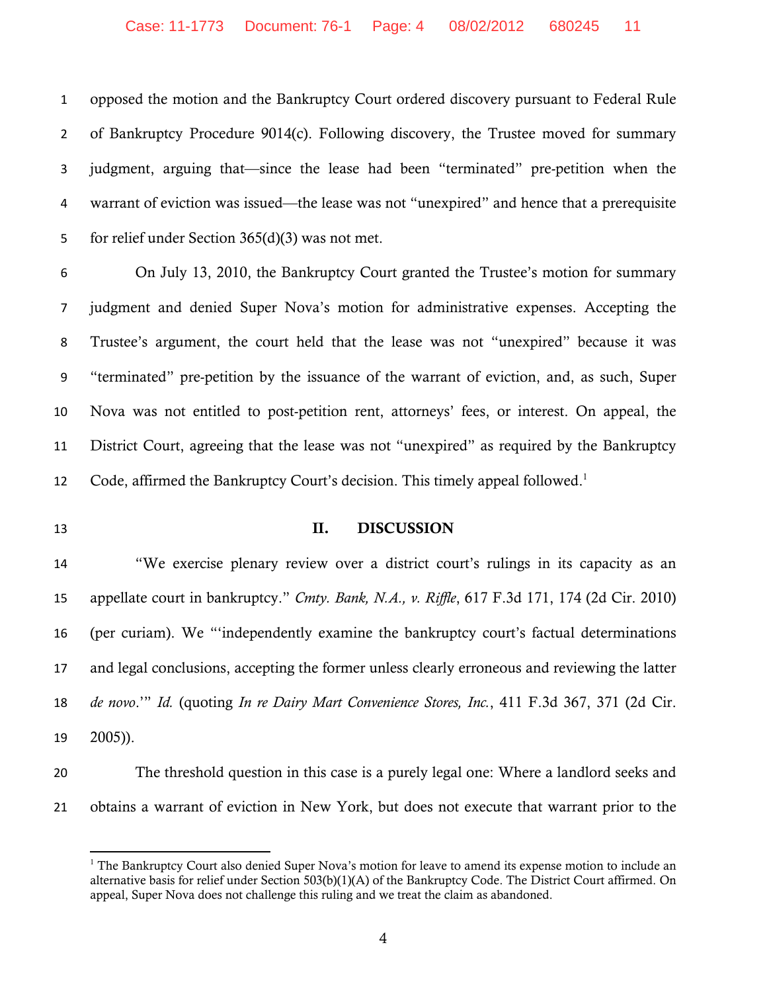opposed the motion and the Bankruptcy Court ordered discovery pursuant to Federal Rule of Bankruptcy Procedure 9014(c). Following discovery, the Trustee moved for summary judgment, arguing that—since the lease had been "terminated" pre-petition when the warrant of eviction was issued—the lease was not "unexpired" and hence that a prerequisite for relief under Section 365(d)(3) was not met.

 On July 13, 2010, the Bankruptcy Court granted the Trustee's motion for summary judgment and denied Super Nova's motion for administrative expenses. Accepting the Trustee's argument, the court held that the lease was not "unexpired" because it was "terminated" pre-petition by the issuance of the warrant of eviction, and, as such, Super Nova was not entitled to post-petition rent, attorneys' fees, or interest. On appeal, the District Court, agreeing that the lease was not "unexpired" as required by the Bankruptcy 12 Code, affirmed the Bankruptcy Court's decision. This timely appeal followed.<sup>1</sup>

## 13 II. DISCUSSION

 "We exercise plenary review over a district court's rulings in its capacity as an appellate court in bankruptcy." *Cmty. Bank, N.A., v. Riffle*, 617 F.3d 171, 174 (2d Cir. 2010) (per curiam). We "'independently examine the bankruptcy court's factual determinations and legal conclusions, accepting the former unless clearly erroneous and reviewing the latter *de novo*.'" *Id.* (quoting *In re Dairy Mart Convenience Stores, Inc.*, 411 F.3d 367, 371 (2d Cir. 2005)).

 The threshold question in this case is a purely legal one: Where a landlord seeks and obtains a warrant of eviction in New York, but does not execute that warrant prior to the

<sup>&</sup>lt;sup>1</sup> The Bankruptcy Court also denied Super Nova's motion for leave to amend its expense motion to include an alternative basis for relief under Section 503(b)(1)(A) of the Bankruptcy Code. The District Court affirmed. On appeal, Super Nova does not challenge this ruling and we treat the claim as abandoned.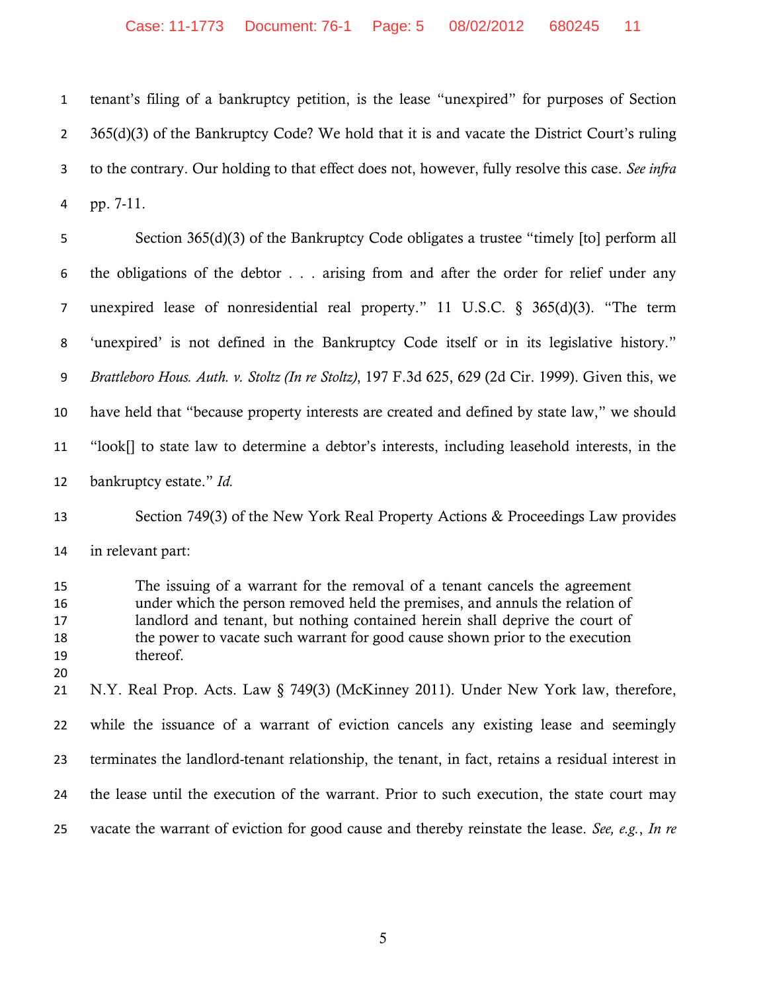tenant's filing of a bankruptcy petition, is the lease "unexpired" for purposes of Section 2 365(d)(3) of the Bankruptcy Code? We hold that it is and vacate the District Court's ruling to the contrary. Our holding to that effect does not, however, fully resolve this case. *See infra* pp. 7-11.

 Section 365(d)(3) of the Bankruptcy Code obligates a trustee "timely [to] perform all the obligations of the debtor . . . arising from and after the order for relief under any unexpired lease of nonresidential real property." 11 U.S.C. § 365(d)(3). "The term 'unexpired' is not defined in the Bankruptcy Code itself or in its legislative history." *Brattleboro Hous. Auth. v. Stoltz (In re Stoltz)*, 197 F.3d 625, 629 (2d Cir. 1999). Given this, we have held that "because property interests are created and defined by state law," we should "look[] to state law to determine a debtor's interests, including leasehold interests, in the bankruptcy estate." *Id.*

 Section 749(3) of the New York Real Property Actions & Proceedings Law provides in relevant part:

 The issuing of a warrant for the removal of a tenant cancels the agreement under which the person removed held the premises, and annuls the relation of landlord and tenant, but nothing contained herein shall deprive the court of the power to vacate such warrant for good cause shown prior to the execution thereof.

 N.Y. Real Prop. Acts. Law § 749(3) (McKinney 2011). Under New York law, therefore, while the issuance of a warrant of eviction cancels any existing lease and seemingly terminates the landlord-tenant relationship, the tenant, in fact, retains a residual interest in the lease until the execution of the warrant. Prior to such execution, the state court may vacate the warrant of eviction for good cause and thereby reinstate the lease. *See, e.g.*, *In re*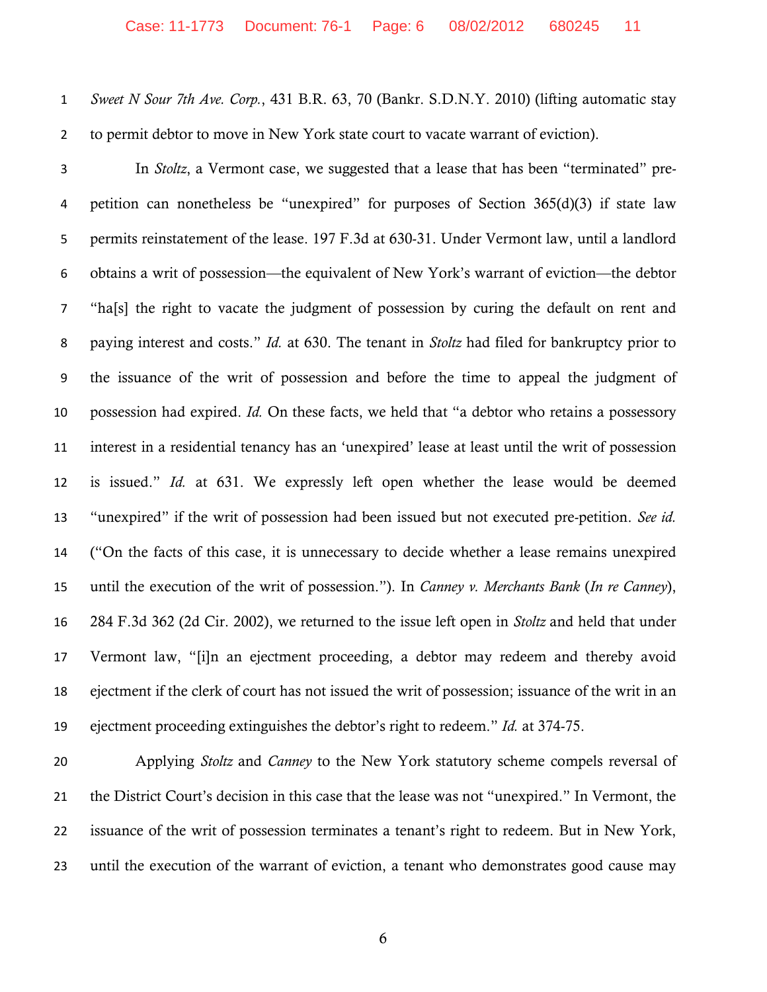*Sweet N Sour 7th Ave. Corp.*, 431 B.R. 63, 70 (Bankr. S.D.N.Y. 2010) (lifting automatic stay to permit debtor to move in New York state court to vacate warrant of eviction).

 In *Stoltz*, a Vermont case, we suggested that a lease that has been "terminated" pre- petition can nonetheless be "unexpired" for purposes of Section 365(d)(3) if state law permits reinstatement of the lease. 197 F.3d at 630-31. Under Vermont law, until a landlord obtains a writ of possession—the equivalent of New York's warrant of eviction—the debtor "ha[s] the right to vacate the judgment of possession by curing the default on rent and paying interest and costs." *Id.* at 630. The tenant in *Stoltz* had filed for bankruptcy prior to the issuance of the writ of possession and before the time to appeal the judgment of possession had expired. *Id.* On these facts, we held that "a debtor who retains a possessory interest in a residential tenancy has an 'unexpired' lease at least until the writ of possession is issued." *Id.* at 631. We expressly left open whether the lease would be deemed "unexpired" if the writ of possession had been issued but not executed pre-petition. *See id.* ("On the facts of this case, it is unnecessary to decide whether a lease remains unexpired until the execution of the writ of possession."). In *Canney v. Merchants Bank* (*In re Canney*), 284 F.3d 362 (2d Cir. 2002), we returned to the issue left open in *Stoltz* and held that under Vermont law, "[i]n an ejectment proceeding, a debtor may redeem and thereby avoid ejectment if the clerk of court has not issued the writ of possession; issuance of the writ in an ejectment proceeding extinguishes the debtor's right to redeem." *Id.* at 374-75.

 Applying *Stoltz* and *Canney* to the New York statutory scheme compels reversal of the District Court's decision in this case that the lease was not "unexpired." In Vermont, the issuance of the writ of possession terminates a tenant's right to redeem. But in New York, until the execution of the warrant of eviction, a tenant who demonstrates good cause may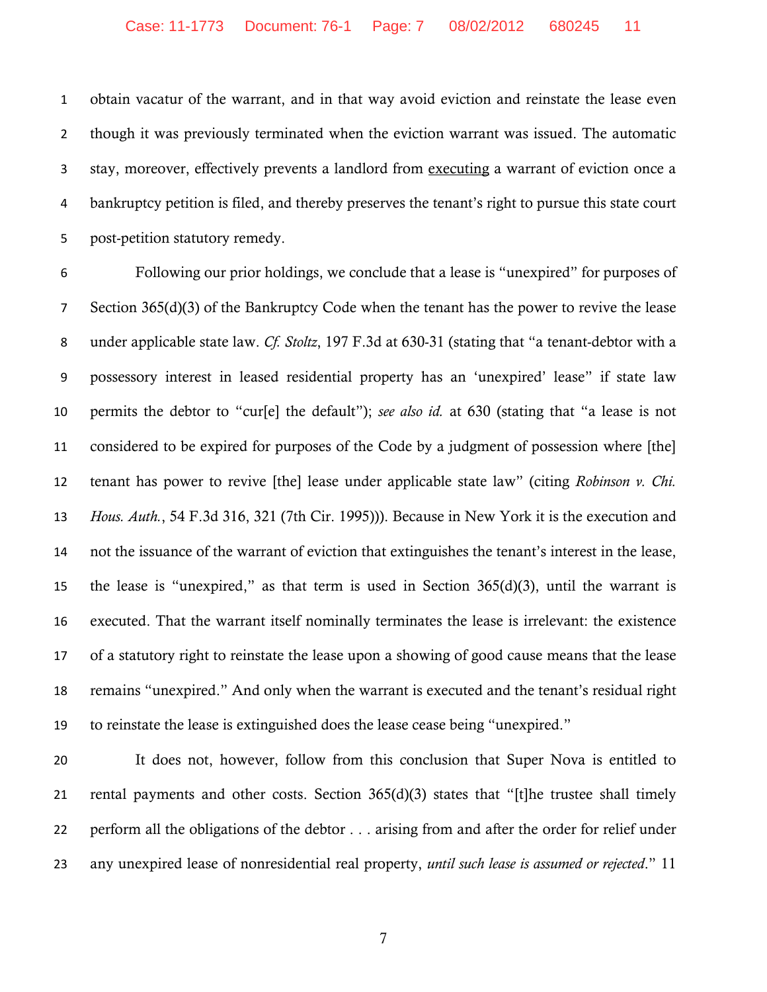obtain vacatur of the warrant, and in that way avoid eviction and reinstate the lease even though it was previously terminated when the eviction warrant was issued. The automatic stay, moreover, effectively prevents a landlord from executing a warrant of eviction once a bankruptcy petition is filed, and thereby preserves the tenant's right to pursue this state court post-petition statutory remedy.

 Following our prior holdings, we conclude that a lease is "unexpired" for purposes of Section 365(d)(3) of the Bankruptcy Code when the tenant has the power to revive the lease under applicable state law. *Cf. Stoltz*, 197 F.3d at 630-31 (stating that "a tenant-debtor with a possessory interest in leased residential property has an 'unexpired' lease" if state law permits the debtor to "cur[e] the default"); *see also id.* at 630 (stating that "a lease is not considered to be expired for purposes of the Code by a judgment of possession where [the] tenant has power to revive [the] lease under applicable state law" (citing *Robinson v. Chi. Hous. Auth.*, 54 F.3d 316, 321 (7th Cir. 1995))). Because in New York it is the execution and not the issuance of the warrant of eviction that extinguishes the tenant's interest in the lease, the lease is "unexpired," as that term is used in Section 365(d)(3), until the warrant is executed. That the warrant itself nominally terminates the lease is irrelevant: the existence of a statutory right to reinstate the lease upon a showing of good cause means that the lease remains "unexpired." And only when the warrant is executed and the tenant's residual right to reinstate the lease is extinguished does the lease cease being "unexpired."

 It does not, however, follow from this conclusion that Super Nova is entitled to rental payments and other costs. Section 365(d)(3) states that "[t]he trustee shall timely perform all the obligations of the debtor . . . arising from and after the order for relief under any unexpired lease of nonresidential real property, *until such lease is assumed or rejected*." 11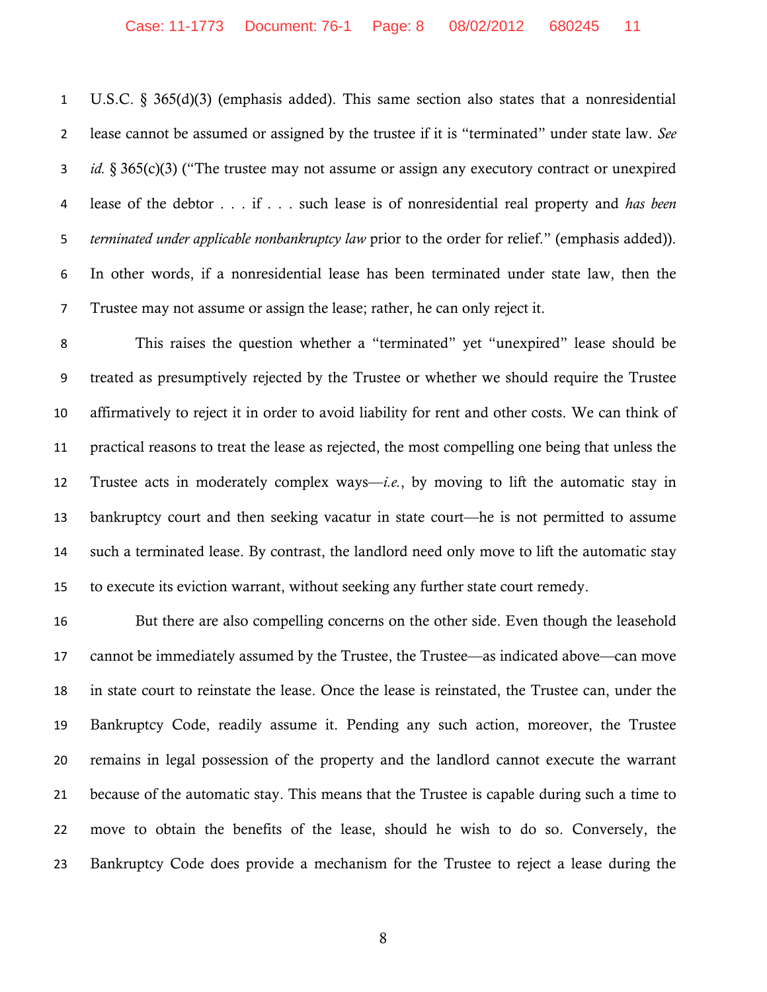U.S.C. § 365(d)(3) (emphasis added). This same section also states that a nonresidential lease cannot be assumed or assigned by the trustee if it is "terminated" under state law. *See id.* § 365(c)(3) ("The trustee may not assume or assign any executory contract or unexpired lease of the debtor . . . if . . . such lease is of nonresidential real property and *has been terminated under applicable nonbankruptcy law* prior to the order for relief." (emphasis added)). In other words, if a nonresidential lease has been terminated under state law, then the Trustee may not assume or assign the lease; rather, he can only reject it.

 This raises the question whether a "terminated" yet "unexpired" lease should be treated as presumptively rejected by the Trustee or whether we should require the Trustee affirmatively to reject it in order to avoid liability for rent and other costs. We can think of practical reasons to treat the lease as rejected, the most compelling one being that unless the Trustee acts in moderately complex ways—*i.e.*, by moving to lift the automatic stay in bankruptcy court and then seeking vacatur in state court—he is not permitted to assume such a terminated lease. By contrast, the landlord need only move to lift the automatic stay to execute its eviction warrant, without seeking any further state court remedy.

 But there are also compelling concerns on the other side. Even though the leasehold cannot be immediately assumed by the Trustee, the Trustee—as indicated above—can move in state court to reinstate the lease. Once the lease is reinstated, the Trustee can, under the Bankruptcy Code, readily assume it. Pending any such action, moreover, the Trustee remains in legal possession of the property and the landlord cannot execute the warrant because of the automatic stay. This means that the Trustee is capable during such a time to move to obtain the benefits of the lease, should he wish to do so. Conversely, the Bankruptcy Code does provide a mechanism for the Trustee to reject a lease during the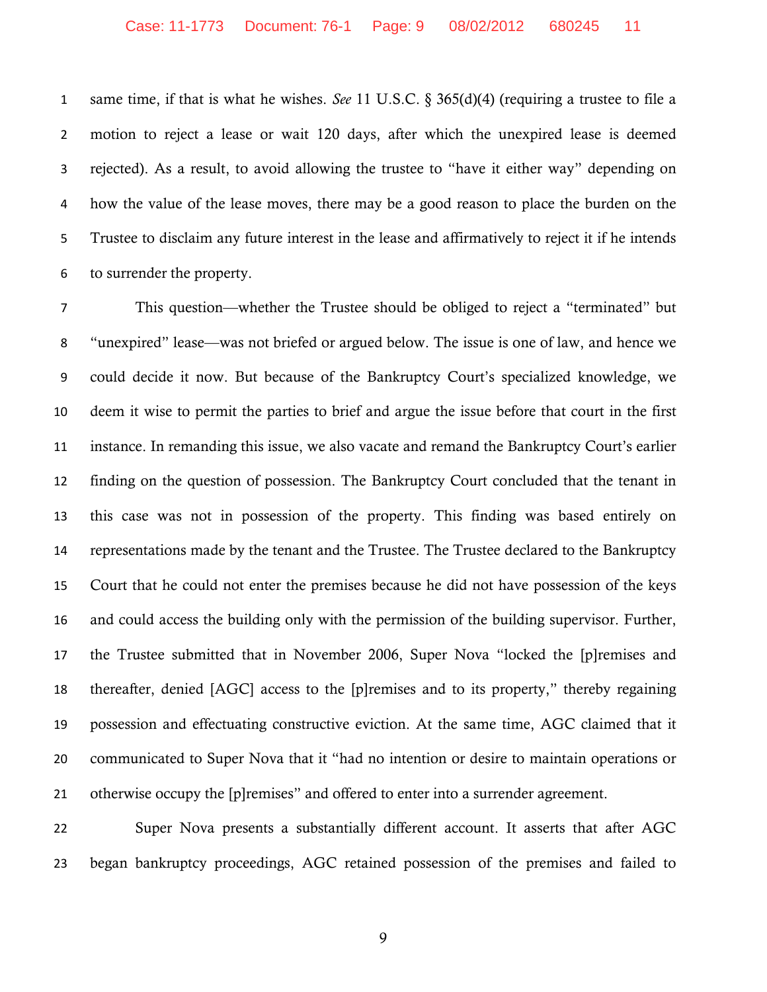same time, if that is what he wishes. *See* 11 U.S.C. § 365(d)(4) (requiring a trustee to file a motion to reject a lease or wait 120 days, after which the unexpired lease is deemed rejected). As a result, to avoid allowing the trustee to "have it either way" depending on how the value of the lease moves, there may be a good reason to place the burden on the Trustee to disclaim any future interest in the lease and affirmatively to reject it if he intends to surrender the property.

 This question—whether the Trustee should be obliged to reject a "terminated" but "unexpired" lease—was not briefed or argued below. The issue is one of law, and hence we could decide it now. But because of the Bankruptcy Court's specialized knowledge, we deem it wise to permit the parties to brief and argue the issue before that court in the first instance. In remanding this issue, we also vacate and remand the Bankruptcy Court's earlier finding on the question of possession. The Bankruptcy Court concluded that the tenant in this case was not in possession of the property. This finding was based entirely on representations made by the tenant and the Trustee. The Trustee declared to the Bankruptcy Court that he could not enter the premises because he did not have possession of the keys and could access the building only with the permission of the building supervisor. Further, the Trustee submitted that in November 2006, Super Nova "locked the [p]remises and thereafter, denied [AGC] access to the [p]remises and to its property," thereby regaining possession and effectuating constructive eviction. At the same time, AGC claimed that it communicated to Super Nova that it "had no intention or desire to maintain operations or otherwise occupy the [p]remises" and offered to enter into a surrender agreement.

 Super Nova presents a substantially different account. It asserts that after AGC began bankruptcy proceedings, AGC retained possession of the premises and failed to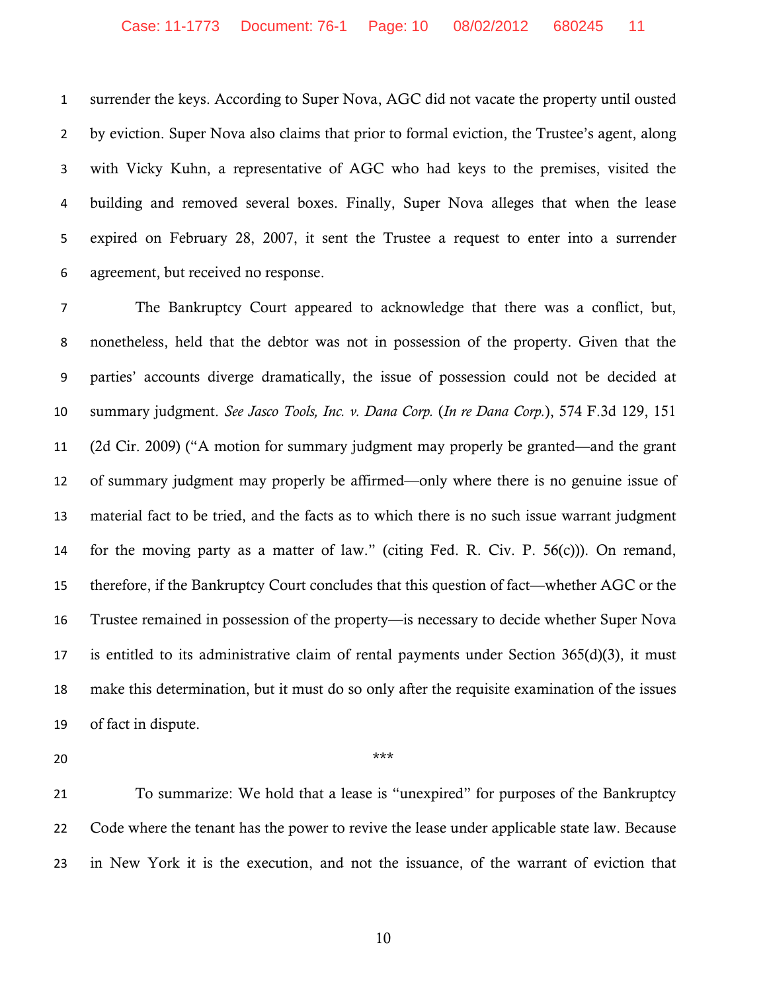surrender the keys. According to Super Nova, AGC did not vacate the property until ousted by eviction. Super Nova also claims that prior to formal eviction, the Trustee's agent, along with Vicky Kuhn, a representative of AGC who had keys to the premises, visited the building and removed several boxes. Finally, Super Nova alleges that when the lease expired on February 28, 2007, it sent the Trustee a request to enter into a surrender agreement, but received no response.

 The Bankruptcy Court appeared to acknowledge that there was a conflict, but, nonetheless, held that the debtor was not in possession of the property. Given that the parties' accounts diverge dramatically, the issue of possession could not be decided at summary judgment. *See Jasco Tools, Inc. v. Dana Corp.* (*In re Dana Corp.*), 574 F.3d 129, 151 (2d Cir. 2009) ("A motion for summary judgment may properly be granted—and the grant of summary judgment may properly be affirmed—only where there is no genuine issue of material fact to be tried, and the facts as to which there is no such issue warrant judgment for the moving party as a matter of law." (citing Fed. R. Civ. P. 56(c))). On remand, therefore, if the Bankruptcy Court concludes that this question of fact—whether AGC or the Trustee remained in possession of the property—is necessary to decide whether Super Nova is entitled to its administrative claim of rental payments under Section 365(d)(3), it must make this determination, but it must do so only after the requisite examination of the issues of fact in dispute.

\*\*\*

 To summarize: We hold that a lease is "unexpired" for purposes of the Bankruptcy 22 Code where the tenant has the power to revive the lease under applicable state law. Because in New York it is the execution, and not the issuance, of the warrant of eviction that